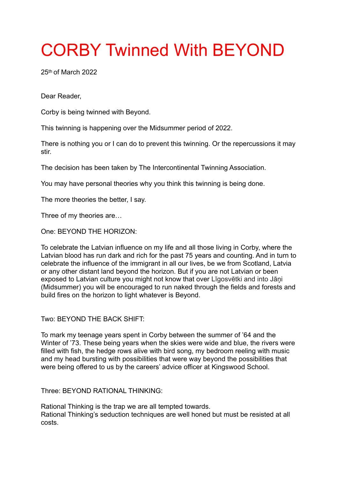## CORBY Twinned With BEYOND

25th of March 2022

Dear Reader,

Corby is being twinned with Beyond.

This twinning is happening over the Midsummer period of 2022.

There is nothing you or I can do to prevent this twinning. Or the repercussions it may stir.

The decision has been taken by The Intercontinental Twinning Association.

You may have personal theories why you think this twinning is being done.

The more theories the better, I say.

Three of my theories are…

One: BEYOND THE HORIZON:

To celebrate the Latvian influence on my life and all those living in Corby, where the Latvian blood has run dark and rich for the past 75 years and counting. And in turn to celebrate the influence of the immigrant in all our lives, be we from Scotland, Latvia or any other distant land beyond the horizon. But if you are not Latvian or been exposed to Latvian culture you might not know that over Līgosvētki and into Jāņi (Midsummer) you will be encouraged to run naked through the fields and forests and build fires on the horizon to light whatever is Beyond.

Two: BEYOND THE BACK SHIFT:

To mark my teenage years spent in Corby between the summer of '64 and the Winter of '73. These being years when the skies were wide and blue, the rivers were filled with fish, the hedge rows alive with bird song, my bedroom reeling with music and my head bursting with possibilities that were way beyond the possibilities that were being offered to us by the careers' advice officer at Kingswood School.

Three: BEYOND RATIONAL THINKING:

Rational Thinking is the trap we are all tempted towards. Rational Thinking's seduction techniques are well honed but must be resisted at all costs.